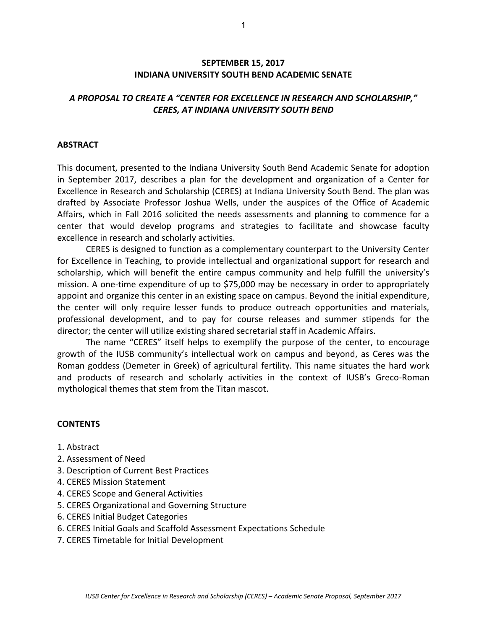### **SEPTEMBER 15, 2017 INDIANA UNIVERSITY SOUTH BEND ACADEMIC SENATE**

## *A PROPOSAL TO CREATE A "CENTER FOR EXCELLENCE IN RESEARCH AND SCHOLARSHIP," CERES, AT INDIANA UNIVERSITY SOUTH BEND*

#### **ABSTRACT**

This document, presented to the Indiana University South Bend Academic Senate for adoption in September 2017, describes a plan for the development and organization of a Center for Excellence in Research and Scholarship (CERES) at Indiana University South Bend. The plan was drafted by Associate Professor Joshua Wells, under the auspices of the Office of Academic Affairs, which in Fall 2016 solicited the needs assessments and planning to commence for a center that would develop programs and strategies to facilitate and showcase faculty excellence in research and scholarly activities.

 CERES is designed to function as a complementary counterpart to the University Center for Excellence in Teaching, to provide intellectual and organizational support for research and scholarship, which will benefit the entire campus community and help fulfill the university's mission. A one-time expenditure of up to \$75,000 may be necessary in order to appropriately appoint and organize this center in an existing space on campus. Beyond the initial expenditure, the center will only require lesser funds to produce outreach opportunities and materials, professional development, and to pay for course releases and summer stipends for the director; the center will utilize existing shared secretarial staff in Academic Affairs.

The name "CERES" itself helps to exemplify the purpose of the center, to encourage growth of the IUSB community's intellectual work on campus and beyond, as Ceres was the Roman goddess (Demeter in Greek) of agricultural fertility. This name situates the hard work and products of research and scholarly activities in the context of IUSB's Greco-Roman mythological themes that stem from the Titan mascot.

### **CONTENTS**

- 1. Abstract
- 2. Assessment of Need
- 3. Description of Current Best Practices
- 4. CERES Mission Statement
- 4. CERES Scope and General Activities
- 5. CERES Organizational and Governing Structure
- 6. CERES Initial Budget Categories
- 6. CERES Initial Goals and Scaffold Assessment Expectations Schedule
- 7. CERES Timetable for Initial Development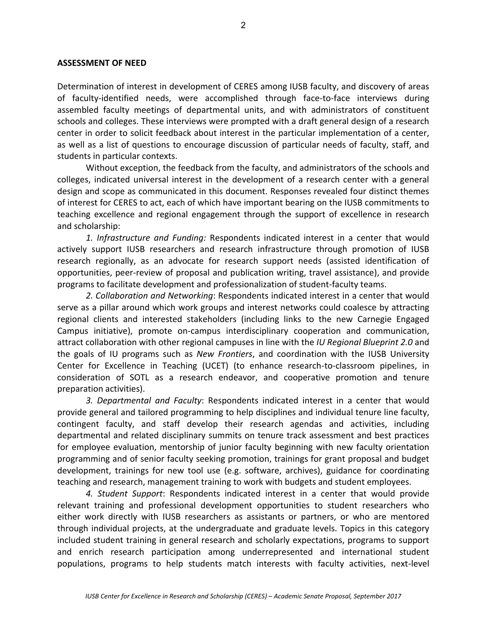#### **ASSESSMENT OF NEED**

Determination of interest in development of CERES among IUSB faculty, and discovery of areas of faculty-identified needs, were accomplished through face-to-face interviews during assembled faculty meetings of departmental units, and with administrators of constituent schools and colleges. These interviews were prompted with a draft general design of a research center in order to solicit feedback about interest in the particular implementation of a center, as well as a list of questions to encourage discussion of particular needs of faculty, staff, and students in particular contexts.

Without exception, the feedback from the faculty, and administrators of the schools and colleges, indicated universal interest in the development of a research center with a general design and scope as communicated in this document. Responses revealed four distinct themes of interest for CERES to act, each of which have important bearing on the IUSB commitments to teaching excellence and regional engagement through the support of excellence in research and scholarship:

*1. Infrastructure and Funding:* Respondents indicated interest in a center that would actively support IUSB researchers and research infrastructure through promotion of IUSB research regionally, as an advocate for research support needs (assisted identification of opportunities, peer-review of proposal and publication writing, travel assistance), and provide programs to facilitate development and professionalization of student-faculty teams.

*2. Collaboration and Networking*: Respondents indicated interest in a center that would serve as a pillar around which work groups and interest networks could coalesce by attracting regional clients and interested stakeholders (including links to the new Carnegie Engaged Campus initiative), promote on-campus interdisciplinary cooperation and communication, attract collaboration with other regional campuses in line with the *IU Regional Blueprint 2.0* and the goals of IU programs such as *New Frontiers*, and coordination with the IUSB University Center for Excellence in Teaching (UCET) (to enhance research-to-classroom pipelines, in consideration of SOTL as a research endeavor, and cooperative promotion and tenure preparation activities).

*3. Departmental and Faculty*: Respondents indicated interest in a center that would provide general and tailored programming to help disciplines and individual tenure line faculty, contingent faculty, and staff develop their research agendas and activities, including departmental and related disciplinary summits on tenure track assessment and best practices for employee evaluation, mentorship of junior faculty beginning with new faculty orientation programming and of senior faculty seeking promotion, trainings for grant proposal and budget development, trainings for new tool use (e.g. software, archives), guidance for coordinating teaching and research, management training to work with budgets and student employees.

*4. Student Support*: Respondents indicated interest in a center that would provide relevant training and professional development opportunities to student researchers who either work directly with IUSB researchers as assistants or partners, or who are mentored through individual projects, at the undergraduate and graduate levels. Topics in this category included student training in general research and scholarly expectations, programs to support and enrich research participation among underrepresented and international student populations, programs to help students match interests with faculty activities, next-level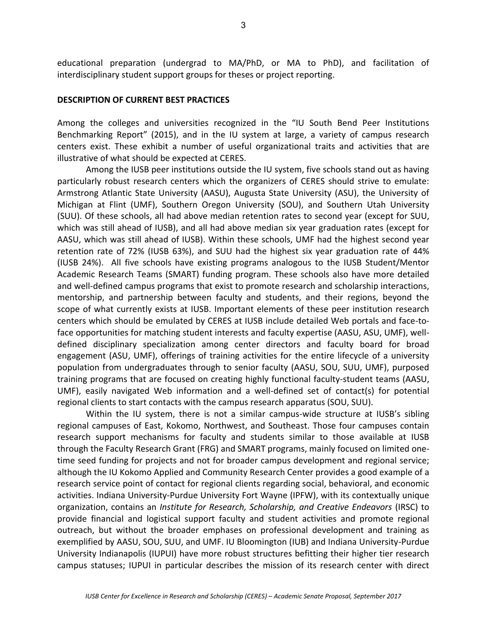educational preparation (undergrad to MA/PhD, or MA to PhD), and facilitation of interdisciplinary student support groups for theses or project reporting.

#### **DESCRIPTION OF CURRENT BEST PRACTICES**

Among the colleges and universities recognized in the "IU South Bend Peer Institutions Benchmarking Report" (2015), and in the IU system at large, a variety of campus research centers exist. These exhibit a number of useful organizational traits and activities that are illustrative of what should be expected at CERES.

 Among the IUSB peer institutions outside the IU system, five schools stand out as having particularly robust research centers which the organizers of CERES should strive to emulate: Armstrong Atlantic State University (AASU), Augusta State University (ASU), the University of Michigan at Flint (UMF), Southern Oregon University (SOU), and Southern Utah University (SUU). Of these schools, all had above median retention rates to second year (except for SUU, which was still ahead of IUSB), and all had above median six year graduation rates (except for AASU, which was still ahead of IUSB). Within these schools, UMF had the highest second year retention rate of 72% (IUSB 63%), and SUU had the highest six year graduation rate of 44% (IUSB 24%). All five schools have existing programs analogous to the IUSB Student/Mentor Academic Research Teams (SMART) funding program. These schools also have more detailed and well-defined campus programs that exist to promote research and scholarship interactions, mentorship, and partnership between faculty and students, and their regions, beyond the scope of what currently exists at IUSB. Important elements of these peer institution research centers which should be emulated by CERES at IUSB include detailed Web portals and face-toface opportunities for matching student interests and faculty expertise (AASU, ASU, UMF), welldefined disciplinary specialization among center directors and faculty board for broad engagement (ASU, UMF), offerings of training activities for the entire lifecycle of a university population from undergraduates through to senior faculty (AASU, SOU, SUU, UMF), purposed training programs that are focused on creating highly functional faculty-student teams (AASU, UMF), easily navigated Web information and a well-defined set of contact(s) for potential regional clients to start contacts with the campus research apparatus (SOU, SUU).

 Within the IU system, there is not a similar campus-wide structure at IUSB's sibling regional campuses of East, Kokomo, Northwest, and Southeast. Those four campuses contain research support mechanisms for faculty and students similar to those available at IUSB through the Faculty Research Grant (FRG) and SMART programs, mainly focused on limited onetime seed funding for projects and not for broader campus development and regional service; although the IU Kokomo Applied and Community Research Center provides a good example of a research service point of contact for regional clients regarding social, behavioral, and economic activities. Indiana University-Purdue University Fort Wayne (IPFW), with its contextually unique organization, contains an *Institute for Research, Scholarship, and Creative Endeavors* (IRSC) to provide financial and logistical support faculty and student activities and promote regional outreach, but without the broader emphases on professional development and training as exemplified by AASU, SOU, SUU, and UMF. IU Bloomington (IUB) and Indiana University-Purdue University Indianapolis (IUPUI) have more robust structures befitting their higher tier research campus statuses; IUPUI in particular describes the mission of its research center with direct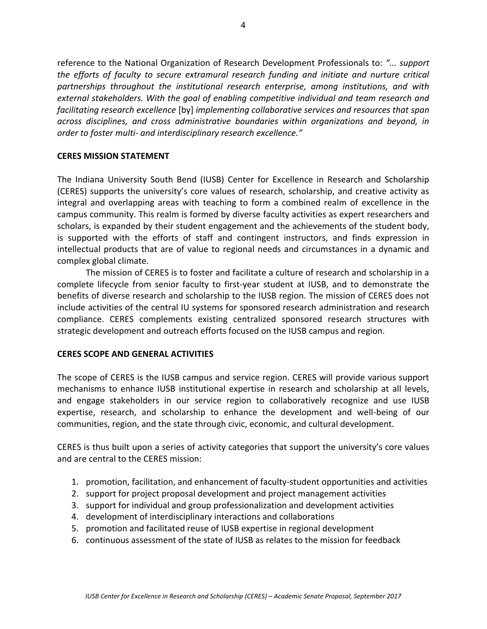reference to the National Organization of Research Development Professionals to: *"... support the efforts of faculty to secure extramural research funding and initiate and nurture critical partnerships throughout the institutional research enterprise, among institutions, and with external stakeholders. With the goal of enabling competitive individual and team research and facilitating research excellence* [by] *implementing collaborative services and resources that span across disciplines, and cross administrative boundaries within organizations and beyond, in order to foster multi- and interdisciplinary research excellence."* 

### **CERES MISSION STATEMENT**

The Indiana University South Bend (IUSB) Center for Excellence in Research and Scholarship (CERES) supports the university's core values of research, scholarship, and creative activity as integral and overlapping areas with teaching to form a combined realm of excellence in the campus community. This realm is formed by diverse faculty activities as expert researchers and scholars, is expanded by their student engagement and the achievements of the student body, is supported with the efforts of staff and contingent instructors, and finds expression in intellectual products that are of value to regional needs and circumstances in a dynamic and complex global climate.

The mission of CERES is to foster and facilitate a culture of research and scholarship in a complete lifecycle from senior faculty to first-year student at IUSB, and to demonstrate the benefits of diverse research and scholarship to the IUSB region. The mission of CERES does not include activities of the central IU systems for sponsored research administration and research compliance. CERES complements existing centralized sponsored research structures with strategic development and outreach efforts focused on the IUSB campus and region.

## **CERES SCOPE AND GENERAL ACTIVITIES**

The scope of CERES is the IUSB campus and service region. CERES will provide various support mechanisms to enhance IUSB institutional expertise in research and scholarship at all levels, and engage stakeholders in our service region to collaboratively recognize and use IUSB expertise, research, and scholarship to enhance the development and well-being of our communities, region, and the state through civic, economic, and cultural development.

CERES is thus built upon a series of activity categories that support the university's core values and are central to the CERES mission:

- 1. promotion, facilitation, and enhancement of faculty-student opportunities and activities
- 2. support for project proposal development and project management activities
- 3. support for individual and group professionalization and development activities
- 4. development of interdisciplinary interactions and collaborations
- 5. promotion and facilitated reuse of IUSB expertise in regional development
- 6. continuous assessment of the state of IUSB as relates to the mission for feedback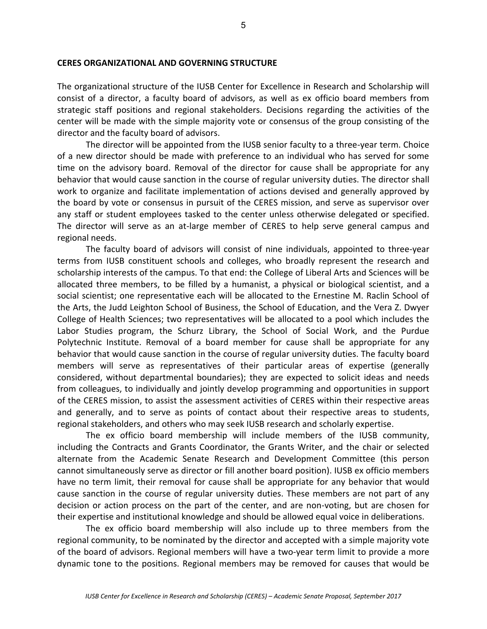#### **CERES ORGANIZATIONAL AND GOVERNING STRUCTURE**

The organizational structure of the IUSB Center for Excellence in Research and Scholarship will consist of a director, a faculty board of advisors, as well as ex officio board members from strategic staff positions and regional stakeholders. Decisions regarding the activities of the center will be made with the simple majority vote or consensus of the group consisting of the director and the faculty board of advisors.

The director will be appointed from the IUSB senior faculty to a three-year term. Choice of a new director should be made with preference to an individual who has served for some time on the advisory board. Removal of the director for cause shall be appropriate for any behavior that would cause sanction in the course of regular university duties. The director shall work to organize and facilitate implementation of actions devised and generally approved by the board by vote or consensus in pursuit of the CERES mission, and serve as supervisor over any staff or student employees tasked to the center unless otherwise delegated or specified. The director will serve as an at-large member of CERES to help serve general campus and regional needs.

The faculty board of advisors will consist of nine individuals, appointed to three-year terms from IUSB constituent schools and colleges, who broadly represent the research and scholarship interests of the campus. To that end: the College of Liberal Arts and Sciences will be allocated three members, to be filled by a humanist, a physical or biological scientist, and a social scientist; one representative each will be allocated to the Ernestine M. Raclin School of the Arts, the Judd Leighton School of Business, the School of Education, and the Vera Z. Dwyer College of Health Sciences; two representatives will be allocated to a pool which includes the Labor Studies program, the Schurz Library, the School of Social Work, and the Purdue Polytechnic Institute. Removal of a board member for cause shall be appropriate for any behavior that would cause sanction in the course of regular university duties. The faculty board members will serve as representatives of their particular areas of expertise (generally considered, without departmental boundaries); they are expected to solicit ideas and needs from colleagues, to individually and jointly develop programming and opportunities in support of the CERES mission, to assist the assessment activities of CERES within their respective areas and generally, and to serve as points of contact about their respective areas to students, regional stakeholders, and others who may seek IUSB research and scholarly expertise.

The ex officio board membership will include members of the IUSB community, including the Contracts and Grants Coordinator, the Grants Writer, and the chair or selected alternate from the Academic Senate Research and Development Committee (this person cannot simultaneously serve as director or fill another board position). IUSB ex officio members have no term limit, their removal for cause shall be appropriate for any behavior that would cause sanction in the course of regular university duties. These members are not part of any decision or action process on the part of the center, and are non-voting, but are chosen for their expertise and institutional knowledge and should be allowed equal voice in deliberations.

The ex officio board membership will also include up to three members from the regional community, to be nominated by the director and accepted with a simple majority vote of the board of advisors. Regional members will have a two-year term limit to provide a more dynamic tone to the positions. Regional members may be removed for causes that would be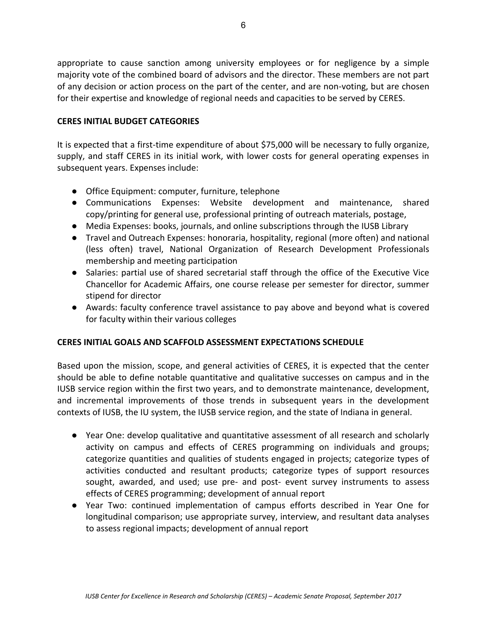appropriate to cause sanction among university employees or for negligence by a simple majority vote of the combined board of advisors and the director. These members are not part of any decision or action process on the part of the center, and are non-voting, but are chosen for their expertise and knowledge of regional needs and capacities to be served by CERES.

## **CERES INITIAL BUDGET CATEGORIES**

It is expected that a first-time expenditure of about \$75,000 will be necessary to fully organize, supply, and staff CERES in its initial work, with lower costs for general operating expenses in subsequent years. Expenses include:

- Office Equipment: computer, furniture, telephone
- Communications Expenses: Website development and maintenance, shared copy/printing for general use, professional printing of outreach materials, postage,
- Media Expenses: books, journals, and online subscriptions through the IUSB Library
- Travel and Outreach Expenses: honoraria, hospitality, regional (more often) and national (less often) travel, National Organization of Research Development Professionals membership and meeting participation
- Salaries: partial use of shared secretarial staff through the office of the Executive Vice Chancellor for Academic Affairs, one course release per semester for director, summer stipend for director
- Awards: faculty conference travel assistance to pay above and beyond what is covered for faculty within their various colleges

# **CERES INITIAL GOALS AND SCAFFOLD ASSESSMENT EXPECTATIONS SCHEDULE**

Based upon the mission, scope, and general activities of CERES, it is expected that the center should be able to define notable quantitative and qualitative successes on campus and in the IUSB service region within the first two years, and to demonstrate maintenance, development, and incremental improvements of those trends in subsequent years in the development contexts of IUSB, the IU system, the IUSB service region, and the state of Indiana in general.

- Year One: develop qualitative and quantitative assessment of all research and scholarly activity on campus and effects of CERES programming on individuals and groups; categorize quantities and qualities of students engaged in projects; categorize types of activities conducted and resultant products; categorize types of support resources sought, awarded, and used; use pre- and post- event survey instruments to assess effects of CERES programming; development of annual report
- Year Two: continued implementation of campus efforts described in Year One for longitudinal comparison; use appropriate survey, interview, and resultant data analyses to assess regional impacts; development of annual report